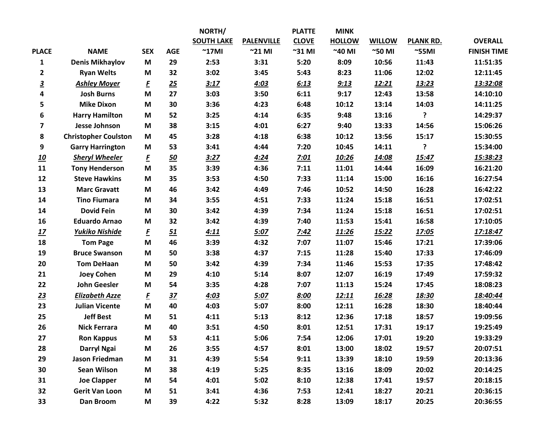|                         |                             |                       |                 | NORTH/            |                   | <b>PLATTE</b>   | <b>MINK</b>     |                 |                  |                    |
|-------------------------|-----------------------------|-----------------------|-----------------|-------------------|-------------------|-----------------|-----------------|-----------------|------------------|--------------------|
|                         |                             |                       |                 | <b>SOUTH LAKE</b> | <b>PALENVILLE</b> | <b>CLOVE</b>    | <b>HOLLOW</b>   | <b>WILLOW</b>   | <b>PLANK RD.</b> | <b>OVERALL</b>     |
| <b>PLACE</b>            | <b>NAME</b>                 | <b>SEX</b>            | <b>AGE</b>      | $^{\sim}$ 17MI    | $^{\sim}$ 21 MI   | $^{\sim}$ 31 MI | $^{\sim}$ 40 MI | $^{\sim}$ 50 MI | $^{\sim}$ 55MI   | <b>FINISH TIME</b> |
| $\mathbf{1}$            | <b>Denis Mikhaylov</b>      | M                     | 29              | 2:53              | 3:31              | 5:20            | 8:09            | 10:56           | 11:43            | 11:51:35           |
| $\mathbf{2}$            | <b>Ryan Welts</b>           | M                     | 32              | 3:02              | 3:45              | 5:43            | 8:23            | 11:06           | 12:02            | 12:11:45           |
| $\overline{\mathbf{3}}$ | <b>Ashley Moyer</b>         | E                     | 25              | 3:17              | 4:03              | 6:13            | 9:13            | <u>12:21</u>    | 13:23            | 13:32:08           |
| 4                       | <b>Josh Burns</b>           | M                     | 27              | 3:03              | 3:50              | 6:11            | 9:17            | 12:43           | 13:58            | 14:10:10           |
| 5                       | <b>Mike Dixon</b>           | M                     | 30              | 3:36              | 4:23              | 6:48            | 10:12           | 13:14           | 14:03            | 14:11:25           |
| 6                       | <b>Harry Hamilton</b>       | M                     | 52              | 3:25              | 4:14              | 6:35            | 9:48            | 13:16           | ?                | 14:29:37           |
| 7                       | <b>Jesse Johnson</b>        | M                     | 38              | 3:15              | 4:01              | 6:27            | 9:40            | 13:33           | 14:56            | 15:06:26           |
| 8                       | <b>Christopher Coulston</b> | M                     | 45              | 3:28              | 4:18              | 6:38            | 10:12           | 13:56           | 15:17            | 15:30:55           |
| 9                       | <b>Garry Harrington</b>     | M                     | 53              | 3:41              | 4:44              | 7:20            | 10:45           | 14:11           | ?                | 15:34:00           |
| <u>10</u>               | <b>Sheryl Wheeler</b>       | $\underline{\pmb{F}}$ | <u>50</u>       | 3:27              | 4:24              | 7:01            | 10:26           | 14:08           | 15:47            | 15:38:23           |
| 11                      | <b>Tony Henderson</b>       | M                     | 35              | 3:39              | 4:36              | 7:11            | 11:01           | 14:44           | 16:09            | 16:21:20           |
| 12                      | <b>Steve Hawkins</b>        | M                     | 35              | 3:53              | 4:50              | 7:33            | 11:14           | 15:00           | 16:16            | 16:27:54           |
| 13                      | <b>Marc Gravatt</b>         | M                     | 46              | 3:42              | 4:49              | 7:46            | 10:52           | 14:50           | 16:28            | 16:42:22           |
| 14                      | <b>Tino Fiumara</b>         | M                     | 34              | 3:55              | 4:51              | 7:33            | 11:24           | 15:18           | 16:51            | 17:02:51           |
| 14                      | <b>Dovid Fein</b>           | M                     | 30              | 3:42              | 4:39              | 7:34            | 11:24           | 15:18           | 16:51            | 17:02:51           |
| 16                      | <b>Eduardo Arnao</b>        | M                     | 32              | 3:42              | 4:39              | 7:40            | 11:53           | 15:41           | 16:58            | 17:10:05           |
| 17                      | <b>Yukiko Nishide</b>       | E                     | 51              | 4:11              | 5:07              | 7:42            | 11:26           | 15:22           | 17:05            | 17:18:47           |
| 18                      | <b>Tom Page</b>             | M                     | 46              | 3:39              | 4:32              | 7:07            | 11:07           | 15:46           | 17:21            | 17:39:06           |
| 19                      | <b>Bruce Swanson</b>        | M                     | 50              | 3:38              | 4:37              | 7:15            | 11:28           | 15:40           | 17:33            | 17:46:09           |
| 20                      | <b>Tom DeHaan</b>           | M                     | 50              | 3:42              | 4:39              | 7:34            | 11:46           | 15:53           | 17:35            | 17:48:42           |
| 21                      | <b>Joey Cohen</b>           | M                     | 29              | 4:10              | 5:14              | 8:07            | 12:07           | 16:19           | 17:49            | 17:59:32           |
| 22                      | <b>John Geesler</b>         | M                     | 54              | 3:35              | 4:28              | 7:07            | 11:13           | 15:24           | 17:45            | 18:08:23           |
| 23                      | <b>Elizabeth Azze</b>       | E                     | $\overline{37}$ | 4:03              | <u>5:07</u>       | 8:00            | 12:11           | 16:28           | 18:30            | 18:40:44           |
| 23                      | <b>Julian Vicente</b>       | M                     | 40              | 4:03              | 5:07              | 8:00            | 12:11           | 16:28           | 18:30            | 18:40:44           |
| 25                      | <b>Jeff Best</b>            | M                     | 51              | 4:11              | 5:13              | 8:12            | 12:36           | 17:18           | 18:57            | 19:09:56           |
| 26                      | <b>Nick Ferrara</b>         | M                     | 40              | 3:51              | 4:50              | 8:01            | 12:51           | 17:31           | 19:17            | 19:25:49           |
| 27                      | <b>Ron Kappus</b>           | M                     | 53              | 4:11              | 5:06              | 7:54            | 12:06           | 17:01           | 19:20            | 19:33:29           |
| 28                      | <b>Darryl Ngai</b>          | M                     | 26              | 3:55              | 4:57              | 8:01            | 13:00           | 18:02           | 19:57            | 20:07:51           |
| 29                      | Jason Friedman              | M                     | 31              | 4:39              | 5:54              | 9:11            | 13:39           | 18:10           | 19:59            | 20:13:36           |
| 30                      | <b>Sean Wilson</b>          | M                     | 38              | 4:19              | 5:25              | 8:35            | 13:16           | 18:09           | 20:02            | 20:14:25           |
| 31                      | <b>Joe Clapper</b>          | M                     | 54              | 4:01              | 5:02              | 8:10            | 12:38           | 17:41           | 19:57            | 20:18:15           |
| 32                      | <b>Gerit Van Loon</b>       | M                     | 51              | 3:41              | 4:36              | 7:53            | 12:41           | 18:27           | 20:21            | 20:36:15           |
| 33                      | Dan Broom                   | M                     | 39              | 4:22              | 5:32              | 8:28            | 13:09           | 18:17           | 20:25            | 20:36:55           |